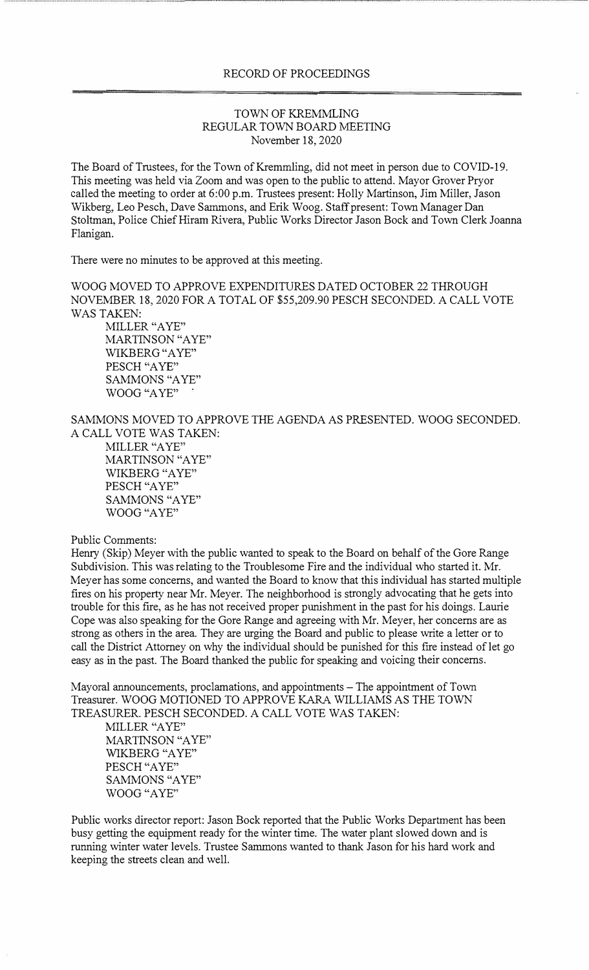## RECORD OF PROCEEDINGS

## TOWN OF KREMMLING REGULAR TOWN BOARD MEETING November 18, 2020

The Board of Trustees, for the Town of Kremmling, did not meet in person due to COVID-19. This meeting was held via Zoom and was open to the public to attend. Mayor Grover Pryor called the meeting to order at 6:00 p.m. Trustees present: Holly Martinson, Jim Miller, Jason Wikberg, Leo Pesch, Dave Sanunons, and Erik Woog. Staff present: Town Manager Dan Stoltman, Police Chief Hiram Rivera, Public Works Director Jason Bock and Town Clerk Joanna Flanigan.

There were no minutes to be approved at this meeting.

WOOG MOVED TO APPROVE EXPENDITURES DATED OCTOBER 22 THROUGH NOVEMBER 18, 2020 FOR A TOTAL OF \$55,209.90 PESCH SECONDED. A CALL VOTE WAS TAKEN:

MlLLER "A YE" MARTINSON "AYE" WlKBERG "A YE" PESCH "AYE" SAMMONS "A YE" WOOG "A YE"

SAMMONS MOVED TO APPROVE THE AGENDA AS PRESENTED. WOOG SECONDED. A CALL VOTE WAS TAKEN:

MILLER "A YE" MARTINSON "A YE" WIKBERG "A YE" PESCH "AYE" SAMMONS "AYE" WOOG "AYE"

## Public Comments:

Henry (Skip) Meyer with the public wanted to speak to the Board on behalf of the Gore Range Subdivision. This was relating to the Troublesome Fire and the individual who started it. Mr. Meyer has some concerns, and wanted the Board to know that this individual has started multiple fires on his property near Mr. Meyer. The neighborhood is strongly advocating that he gets into trouble for this fire, as he has not received proper punishment in the past for his doings. Laurie Cope was also speaking for the Gore Range and agreeing with Mr. Meyer, her concerns are as strong as others in the area. They are urging the Board and public to please write a letter or to call the District Attorney on why the individual should be punished for this fire instead of let go easy as in the past. The Board thanked the public for speaking and voicing their concerns.

Mayoral announcements, proclamations, and appointments - The appointment of Town Treasurer. WOOG MOTIONED TO APPROVE KARA WlLLIAMS AS THE TOWN TREASURER. PESCH SECONDED. A CALL VOTE WAS TAKEN:

MlLLER "A YE" MARTINSON "AYE" WlKBERG "A YE" PESCH "AYE" SAMMONS "AYE" WOOG "AYE"

Public works director report: Jason Bock reported that the Public Works Department has been busy getting the equipment ready for the winter time. The water plant slowed down and is running winter water levels. Trustee Sanunons wanted to thank Jason for his hard work and keeping the streets clean and well.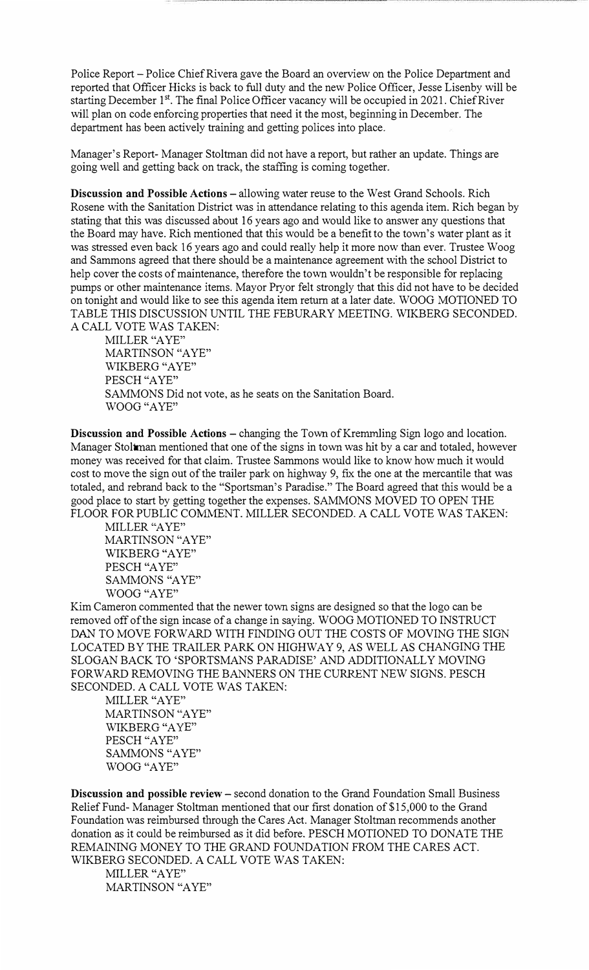Police Report - Police Chief Rivera gave the Board an overview on the Police Department and reported that Officer Hicks is back to full duty and the new Police Officer, Jesse Lisenby will be starting December 1<sup>st</sup>. The final Police Officer vacancy will be occupied in 2021. Chief River will plan on code enforcing properties that need it the most, beginning in December. The department has been actively training and getting polices into place.

Manager's Report- Manager Stoltman did not have a report, but rather an update. Things are going well and getting back on track, the staffing is coming together.

**Discussion and Possible Actions – allowing water reuse to the West Grand Schools. Rich** Rosene with the Sanitation District was in attendance relating to this agenda item. Rich began by stating that this was discussed about 16 years ago and would like to answer any questions that the Board may have. Rich mentioned that this would be a benefit to the town's water plant as it was stressed even back 16 years ago and could really help it more now than ever. Trustee Woog and Sammons agreed that there should be a maintenance agreement with the school District to help cover the costs of maintenance, therefore the town wouldn't be responsible for replacing pumps or other maintenance items. Mayor Pryor felt strongly that this did not have to be decided on tonight and would like to see this agenda item return at a later date. WOOG MOTIONED TO TABLE THIS DISCUSSION UNTIL THE FEBURARY MEETING. WIKBERG SECONDED. A CALL VOTE WAS TAKEN:

MILLER "A YE" MARTINSON "AYE" WIKBERG "AYE" PESCH "AYE" SAMMONS Did not vote, as he seats on the Sanitation Board. WOOG "AYE"

**Discussion and Possible Actions** - changing the Town of Kremmling Sign logo and location. Manager Stoltman mentioned that one of the signs in town was hit by a car and totaled, however money was received for that claim. Trustee Sammons would like to know how much it would cost to move the sign out of the trailer park on highway 9, fix the one at the mercantile that was totaled, and rebrand back to the "Sportsman's Paradise." The Board agreed that this would be a good place to start by getting together the expenses. SAMMONS MOVED TO OPEN THE FLOOR FOR PUBLIC COMMENT. MILLER SECONDED. A CALL VOTE WAS TAKEN:

MILLER "A YE" MARTINSON "A YE" WIKBERG "A YE" PESCH "A YE" SAMMONS "A YE" WOOG "AYE"

Kim Cameron commented that the newer town signs are designed so that the logo can be removed off of the sign incase of a change in saying. WOOG MOTIONED TO INSTRUCT DAN TO MOVE FORWARD WITH FINDING OUT THE COSTS OF MOVING THE SIGN LOCATED BY THE TRAILER PARK ON HIGHWAY 9, AS WELL AS CHANGING THE SLOGAN BACK TO 'SPORTSMANS PARADISE' AND ADDITIONALLY MOVING FORWARD REMOVING THE BANNERS ON THE CURRENT NEW SIGNS. PESCH SECONDED. A CALL VOTE WAS TAKEN:

MILLER "AYE" MARTINSON "AYE" WIKBERG "A YE" PESCH "AYE" SAMMONS "AYE" WOOG "AYE"

**Discussion and possible review – second donation to the Grand Foundation Small Business** Relief Fund- Manager Stoltman mentioned that our first donation of \$15,000 to the Grand Foundation was reimbursed through the Cares Act. Manager Stoltman recommends another donation as it could be reimbursed as it did before. PESCH MOTIONED TO DONATE THE REMAINING MONEY TO THE GRAND FOUNDATION FROM THE CARES ACT. WIKBERG SECONDED. A CALL VOTE WAS TAKEN:

MILLER "A YE" MARTINSON "AYE"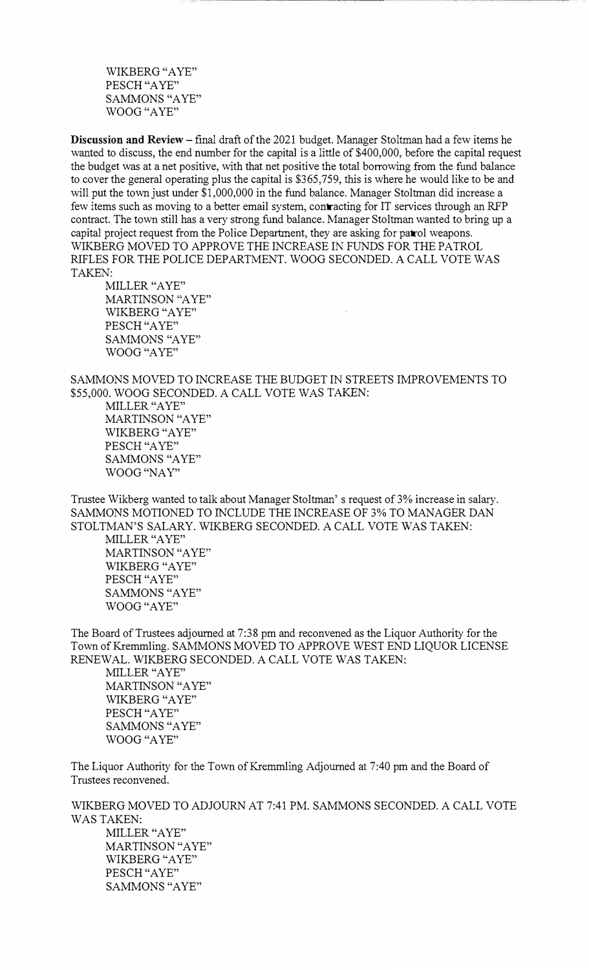WIKBERG "A YE" PESCH "A YE" SAMMONS "AYE" WOOG "AYE"

**Discussion and Review** - final draft of the 2021 budget. Manager Stoltman had a few items he wanted to discuss, the end number for the capital is a little of \$400,000, before the capital request the budget was at a net positive, with that net positive the total borrowing from the fund balance to cover the general operating plus the capital is \$365,759, this is where he would like to be and will put the town just under \$1,000,000 in the fund balance. Manager Stoltman did increase a few items such as moving to a better email system, contracting for IT services through an RFP contract. The town still has a very strong fund balance. Manager Stoltman wanted to bring up a capital project request from the Police Department, they are asking for patrol weapons. WIKBERG MOVED TO APPROVE THE INCREASE IN FUNDS FOR THE PATROL RIFLES FOR THE POLICE DEPARTMENT. WOOG SECONDED. A CALL VOTE WAS TAKEN:

MILLER "A YE" MARTINSON "A YE" WIKBERG "A YE" PESCH "AYE" SAMMONS "AYE" WOOG "A YE"

SAMMONS MOVED TO INCREASE THE BUDGET IN STREETS IMPROVEMENTS TO \$55,000. WOOG SECONDED. A CALL VOTE WAS TAKEN:

MILLER "A YE" MARTINSON "AYE" WIKBERG "AYE" PESCH "A YE" SAMMONS "AYE" WOOG "NAY"

Trustee Wikberg wanted to talk about Manager Stoltman' s request of 3% increase in salary. SAMMONS MOTIONED TO INCLUDE THE INCREASE OF 3% TO MANAGER DAN STOLTMAN'S SALARY. WIKBERG SECONDED. A CALL VOTE WAS TAKEN:

MILLER "A YE" MARTINSON "A YE" WIKBERG "AYE" PESCH "A YE" SAMMONS "AYE" WOOG "AYE"

The Board of Trustees adjourned at 7:38 pm and reconvened as the Liquor Authority for the Town of Kremmling. SAMMONS MOVED TO APPROVE WEST END LIQUOR LICENSE RENEWAL. WIKBERG SECONDED. A CALL VOTE WAS TAKEN:

MILLER "A YE" MARTINSON "A YE" WIKBERG "A YE" PESCH "AYE" SAMMONS "A YE" WOOG "A YE"

The Liquor Authority for the Town of Kremmling Adjourned at 7:40 pm and the Board of Trustees reconvened.

WIKBERG MOVED TO ADJOURN AT 7:41 PM. SAMMONS SECONDED. A CALL VOTE WAS TAKEN: MILLER "AYE" MARTINSON "AYE" WIKBERG "AYE" PESCH "AYE" SAMMONS "AYE"